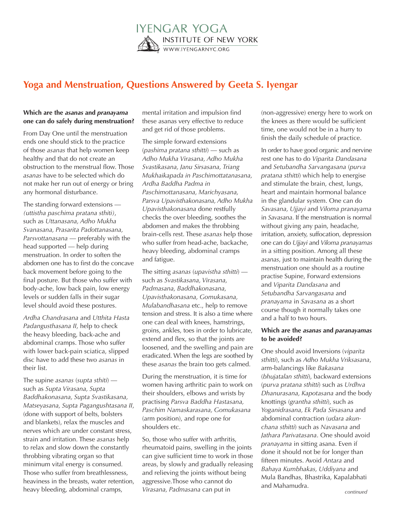

## **Yoga and Menstruation, Questions Answered by Geeta S. Iyengar**

## **Which are the** *asanas* **and** *pranayama* **one can do safely during menstruation?**

From Day One until the menstruation ends one should stick to the practice of those *asanas* that help women keep healthy and that do not create an obstruction to the menstrual flow. Those *asanas* have to be selected which do not make her run out of energy or bring any hormonal disturbance.

The standing forward extensions — *(uttistha paschima pratana sthiti)*, such as *Uttanasana, Adho Mukha Svanasana, Prasarita Padottanasana, Parsvottanasana* — preferably with the head supported — help during menstruation. In order to soften the abdomen one has to first do the concave back movement before going to the final posture. But those who suffer with body-ache, low back pain, low energy levels or sudden falls in their sugar level should avoid these postures.

*Ardha Chandrasana* and *Utthita Hasta Padangusthasana II*, help to check the heavy bleeding, back-ache and abdominal cramps. Those who suffer with lower back-pain sciatica, slipped disc have to add these two *asanas* in their list.

The supine *asanas* (*supta sthiti*) such as *Supta Virasana, Supta Baddhakonasana, Supta Svastikasana, Matseyasana, Supta Pagangushtasana II*, (done with support of belts, bolsters and blankets), relax the muscles and nerves which are under constant stress, strain and irritation. These *asanas* help to relax and slow down the constantly throbbing vibrating organ so that minimum vital energy is consumed. Those who suffer from breathlessness, heaviness in the breasts, water retention, heavy bleeding, abdominal cramps,

mental irritation and impulsion find these asanas very effective to reduce and get rid of those problems.

The simple forward extensions (*pashima pratana sthitti*) — such as *Adho Mukha Virasana, Adho Mukha Svastikasana, Janu Sirsasana, Triang Mukhaikapada in Paschimottatanasana, Ardha Baddha Padma in Paschimottanasana, Marichyasana, Parsva Upavisthakonasana, Adho Mukha Upavisthakonasana* done restfully checks the over bleeding, soothes the abdomen and makes the throbbing brain-cells rest. These *asanas* help those who suffer from head-ache, backache, heavy bleeding, abdominal cramps and fatigue.

The sitting *asanas* (*upavistha sthitti*) such as *Svastikasana, Virasana, Padmasana, Baddhakonasana, Upavisthakonasana, Gomukasana, Mulabandhasana* etc., help to remove tension and stress. It is also a time where one can deal with knees, hamstrings, groins, ankles, toes in order to lubricate, extend and flex, so that the joints are loosened, and the swelling and pain are eradicated. When the legs are soothed by these *asanas* the brain too gets calmed.

During the menstruation, it is time for women having arthritic pain to work on their shoulders, elbows and wrists by practising *Parsva Baddha Hastasana, Paschim Namaskarasana, Gomukasana* (arm position), and rope one for shoulders etc.

So, those who suffer with arthritis, rheumatoid pains, swelling in the joints can give sufficient time to work in those areas, by slowly and gradually releasing and relieving the joints without being aggressive.Those who cannot do *Virasana, Padmasana* can put in

(non-aggressive) energy here to work on the knees as there would be sufficient time, one would not be in a hurry to finish the daily schedule of practice.

In order to have good organic and nervine rest one has to do *Viparita Dandasana* and *Setubandha Sarvangasana* (*purva pratana sthitti*) which help to energise and stimulate the brain, chest, lungs, heart and maintain hormonal balance in the glandular system. One can do *Savasana, Ujjayi* and *Viloma pranayama* in *Savasana*. If the menstruation is normal without giving any pain, headache, irritation, anxiety, suffocation, depression one can do *Ujjayi* and *Viloma pranayamas* in a sitting position. Among all these *asanas*, just to maintain health during the menstruation one should as a routine practise Supine, Forward extensions and *Viparita Dandasana* and *Setubandha Sarvangasana* and *pranayama* in *Savasana* as a short course though it normally takes one and a half to two hours.

## **Which are the** *asanas* **and** *paranayamas* **to be avoided?**

One should avoid Inversions (*viparita sthitti*), such as *Adho Mukha Vriksasana*, arm-balancings like *Bakasana* (*bhujatalan sthitti*), backward extensions (*purva pratana sthitti*) such as *Urdhva Dhanurasana, Kapotasana* and the body knottings (*grantha sthitti*), such as *Yoganidrasana, Ek Pada Sirsasana* and abdominal contraction (*udara akunchana sthitti*) such as *Navasana* and *Jathara Parivatasana*. One should avoid *pranayama* in sitting asana. Even if done it should not be for longer than fifteen minutes. Avoid *Antara* and *Bahaya Kumbhakas, Uddiyana* and Mula Bandhas, Bhastrika, Kapalabhati and Mahamudra.